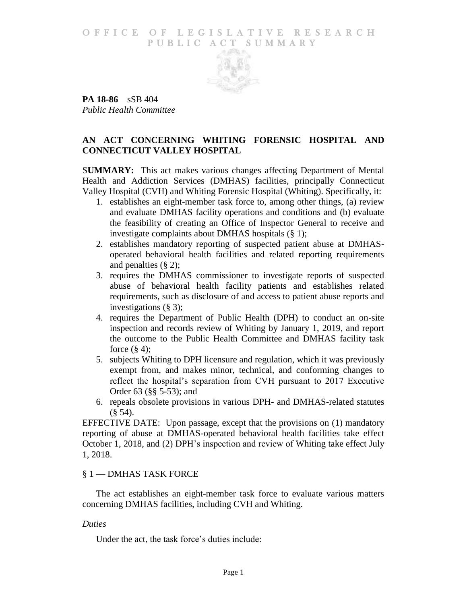#### O F FICE OF LEGISLATIVE RESEARCH PUBLIC ACT SUMMARY



**PA 18-86**—sSB 404 *Public Health Committee*

# **AN ACT CONCERNING WHITING FORENSIC HOSPITAL AND CONNECTICUT VALLEY HOSPITAL**

S**UMMARY:** This act makes various changes affecting Department of Mental Health and Addiction Services (DMHAS) facilities, principally Connecticut Valley Hospital (CVH) and Whiting Forensic Hospital (Whiting). Specifically, it:

- 1. establishes an eight-member task force to, among other things, (a) review and evaluate DMHAS facility operations and conditions and (b) evaluate the feasibility of creating an Office of Inspector General to receive and investigate complaints about DMHAS hospitals (§ 1);
- 2. establishes mandatory reporting of suspected patient abuse at DMHASoperated behavioral health facilities and related reporting requirements and penalties (§ 2);
- 3. requires the DMHAS commissioner to investigate reports of suspected abuse of behavioral health facility patients and establishes related requirements, such as disclosure of and access to patient abuse reports and investigations (§ 3);
- 4. requires the Department of Public Health (DPH) to conduct an on-site inspection and records review of Whiting by January 1, 2019, and report the outcome to the Public Health Committee and DMHAS facility task force  $(\S 4)$ ;
- 5. subjects Whiting to DPH licensure and regulation, which it was previously exempt from, and makes minor, technical, and conforming changes to reflect the hospital's separation from CVH pursuant to 2017 Executive Order 63 (§§ 5-53); and
- 6. repeals obsolete provisions in various DPH- and DMHAS-related statutes  $($ § 54).

EFFECTIVE DATE: Upon passage, except that the provisions on (1) mandatory reporting of abuse at DMHAS-operated behavioral health facilities take effect October 1, 2018, and (2) DPH's inspection and review of Whiting take effect July 1, 2018.

### § 1 — DMHAS TASK FORCE

The act establishes an eight-member task force to evaluate various matters concerning DMHAS facilities, including CVH and Whiting.

### *Duties*

Under the act, the task force's duties include: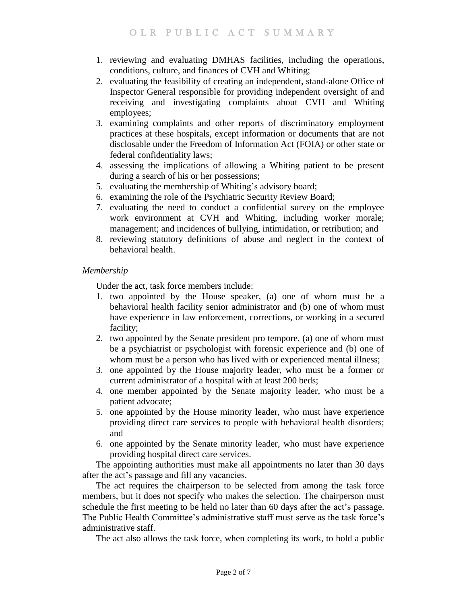- 1. reviewing and evaluating DMHAS facilities, including the operations, conditions, culture, and finances of CVH and Whiting;
- 2. evaluating the feasibility of creating an independent, stand-alone Office of Inspector General responsible for providing independent oversight of and receiving and investigating complaints about CVH and Whiting employees;
- 3. examining complaints and other reports of discriminatory employment practices at these hospitals, except information or documents that are not disclosable under the Freedom of Information Act (FOIA) or other state or federal confidentiality laws;
- 4. assessing the implications of allowing a Whiting patient to be present during a search of his or her possessions;
- 5. evaluating the membership of Whiting's advisory board;
- 6. examining the role of the Psychiatric Security Review Board;
- 7. evaluating the need to conduct a confidential survey on the employee work environment at CVH and Whiting, including worker morale; management; and incidences of bullying, intimidation, or retribution; and
- 8. reviewing statutory definitions of abuse and neglect in the context of behavioral health.

### *Membership*

Under the act, task force members include:

- 1. two appointed by the House speaker, (a) one of whom must be a behavioral health facility senior administrator and (b) one of whom must have experience in law enforcement, corrections, or working in a secured facility;
- 2. two appointed by the Senate president pro tempore, (a) one of whom must be a psychiatrist or psychologist with forensic experience and (b) one of whom must be a person who has lived with or experienced mental illness;
- 3. one appointed by the House majority leader, who must be a former or current administrator of a hospital with at least 200 beds;
- 4. one member appointed by the Senate majority leader, who must be a patient advocate;
- 5. one appointed by the House minority leader, who must have experience providing direct care services to people with behavioral health disorders; and
- 6. one appointed by the Senate minority leader, who must have experience providing hospital direct care services.

The appointing authorities must make all appointments no later than 30 days after the act's passage and fill any vacancies.

The act requires the chairperson to be selected from among the task force members, but it does not specify who makes the selection. The chairperson must schedule the first meeting to be held no later than 60 days after the act's passage. The Public Health Committee's administrative staff must serve as the task force's administrative staff.

The act also allows the task force, when completing its work, to hold a public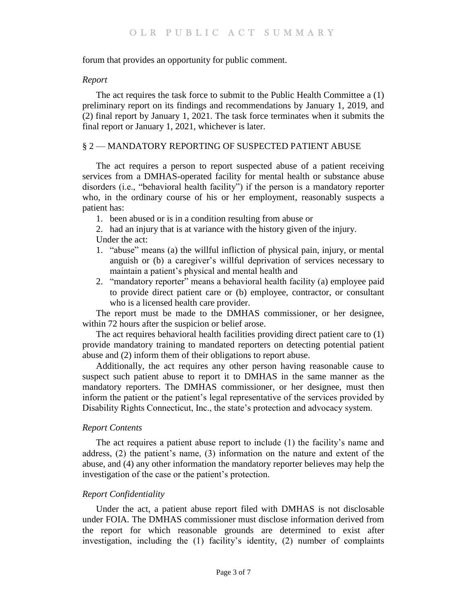#### forum that provides an opportunity for public comment.

#### *Report*

The act requires the task force to submit to the Public Health Committee a (1) preliminary report on its findings and recommendations by January 1, 2019, and (2) final report by January 1, 2021. The task force terminates when it submits the final report or January 1, 2021, whichever is later.

### § 2 — MANDATORY REPORTING OF SUSPECTED PATIENT ABUSE

The act requires a person to report suspected abuse of a patient receiving services from a DMHAS-operated facility for mental health or substance abuse disorders (i.e., "behavioral health facility") if the person is a mandatory reporter who, in the ordinary course of his or her employment, reasonably suspects a patient has:

- 1. been abused or is in a condition resulting from abuse or
- 2. had an injury that is at variance with the history given of the injury.

Under the act:

- 1. "abuse" means (a) the willful infliction of physical pain, injury, or mental anguish or (b) a caregiver's willful deprivation of services necessary to maintain a patient's physical and mental health and
- 2. "mandatory reporter" means a behavioral health facility (a) employee paid to provide direct patient care or (b) employee, contractor, or consultant who is a licensed health care provider.

The report must be made to the DMHAS commissioner, or her designee, within 72 hours after the suspicion or belief arose.

The act requires behavioral health facilities providing direct patient care to (1) provide mandatory training to mandated reporters on detecting potential patient abuse and (2) inform them of their obligations to report abuse.

Additionally, the act requires any other person having reasonable cause to suspect such patient abuse to report it to DMHAS in the same manner as the mandatory reporters. The DMHAS commissioner, or her designee, must then inform the patient or the patient's legal representative of the services provided by Disability Rights Connecticut, Inc., the state's protection and advocacy system.

## *Report Contents*

The act requires a patient abuse report to include (1) the facility's name and address, (2) the patient's name, (3) information on the nature and extent of the abuse, and (4) any other information the mandatory reporter believes may help the investigation of the case or the patient's protection.

### *Report Confidentiality*

Under the act, a patient abuse report filed with DMHAS is not disclosable under FOIA. The DMHAS commissioner must disclose information derived from the report for which reasonable grounds are determined to exist after investigation, including the (1) facility's identity, (2) number of complaints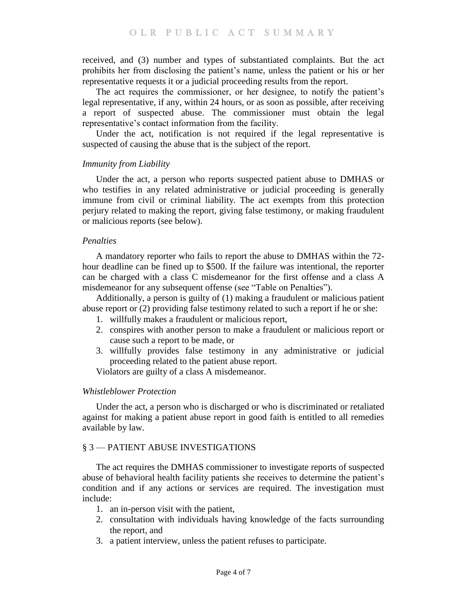received, and (3) number and types of substantiated complaints. But the act prohibits her from disclosing the patient's name, unless the patient or his or her representative requests it or a judicial proceeding results from the report.

The act requires the commissioner, or her designee, to notify the patient's legal representative, if any, within 24 hours, or as soon as possible, after receiving a report of suspected abuse. The commissioner must obtain the legal representative's contact information from the facility.

Under the act, notification is not required if the legal representative is suspected of causing the abuse that is the subject of the report.

#### *Immunity from Liability*

Under the act, a person who reports suspected patient abuse to DMHAS or who testifies in any related administrative or judicial proceeding is generally immune from civil or criminal liability. The act exempts from this protection perjury related to making the report, giving false testimony, or making fraudulent or malicious reports (see below).

#### *Penalties*

A mandatory reporter who fails to report the abuse to DMHAS within the 72 hour deadline can be fined up to \$500. If the failure was intentional, the reporter can be charged with a class C misdemeanor for the first offense and a class A misdemeanor for any subsequent offense (see "Table on Penalties").

Additionally, a person is guilty of (1) making a fraudulent or malicious patient abuse report or (2) providing false testimony related to such a report if he or she:

- 1. willfully makes a fraudulent or malicious report,
- 2. conspires with another person to make a fraudulent or malicious report or cause such a report to be made, or
- 3. willfully provides false testimony in any administrative or judicial proceeding related to the patient abuse report.

Violators are guilty of a class A misdemeanor.

### *Whistleblower Protection*

Under the act, a person who is discharged or who is discriminated or retaliated against for making a patient abuse report in good faith is entitled to all remedies available by law.

### § 3 — PATIENT ABUSE INVESTIGATIONS

The act requires the DMHAS commissioner to investigate reports of suspected abuse of behavioral health facility patients she receives to determine the patient's condition and if any actions or services are required. The investigation must include:

- 1. an in-person visit with the patient,
- 2. consultation with individuals having knowledge of the facts surrounding the report, and
- 3. a patient interview, unless the patient refuses to participate.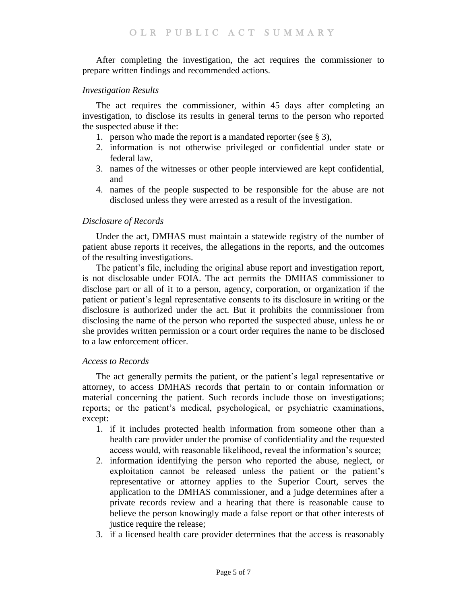After completing the investigation, the act requires the commissioner to prepare written findings and recommended actions.

#### *Investigation Results*

The act requires the commissioner, within 45 days after completing an investigation, to disclose its results in general terms to the person who reported the suspected abuse if the:

- 1. person who made the report is a mandated reporter (see § 3),
- 2. information is not otherwise privileged or confidential under state or federal law,
- 3. names of the witnesses or other people interviewed are kept confidential, and
- 4. names of the people suspected to be responsible for the abuse are not disclosed unless they were arrested as a result of the investigation.

#### *Disclosure of Records*

Under the act, DMHAS must maintain a statewide registry of the number of patient abuse reports it receives, the allegations in the reports, and the outcomes of the resulting investigations.

The patient's file, including the original abuse report and investigation report, is not disclosable under FOIA. The act permits the DMHAS commissioner to disclose part or all of it to a person, agency, corporation, or organization if the patient or patient's legal representative consents to its disclosure in writing or the disclosure is authorized under the act. But it prohibits the commissioner from disclosing the name of the person who reported the suspected abuse, unless he or she provides written permission or a court order requires the name to be disclosed to a law enforcement officer.

#### *Access to Records*

The act generally permits the patient, or the patient's legal representative or attorney, to access DMHAS records that pertain to or contain information or material concerning the patient. Such records include those on investigations; reports; or the patient's medical, psychological, or psychiatric examinations, except:

- 1. if it includes protected health information from someone other than a health care provider under the promise of confidentiality and the requested access would, with reasonable likelihood, reveal the information's source;
- 2. information identifying the person who reported the abuse, neglect, or exploitation cannot be released unless the patient or the patient's representative or attorney applies to the Superior Court, serves the application to the DMHAS commissioner, and a judge determines after a private records review and a hearing that there is reasonable cause to believe the person knowingly made a false report or that other interests of justice require the release;
- 3. if a licensed health care provider determines that the access is reasonably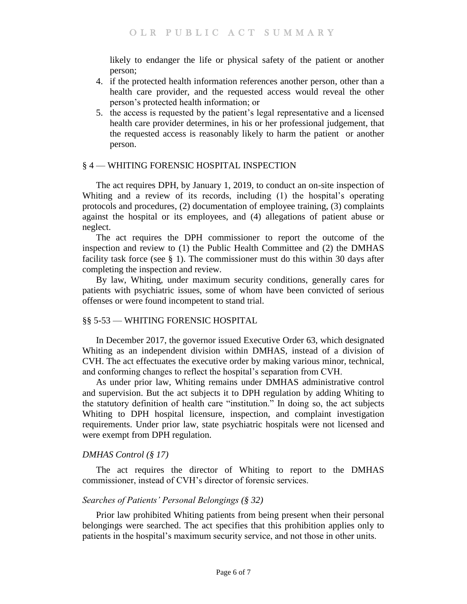likely to endanger the life or physical safety of the patient or another person;

- 4. if the protected health information references another person, other than a health care provider, and the requested access would reveal the other person's protected health information; or
- 5. the access is requested by the patient's legal representative and a licensed health care provider determines, in his or her professional judgement, that the requested access is reasonably likely to harm the patient or another person.

## § 4 — WHITING FORENSIC HOSPITAL INSPECTION

The act requires DPH, by January 1, 2019, to conduct an on-site inspection of Whiting and a review of its records, including (1) the hospital's operating protocols and procedures, (2) documentation of employee training, (3) complaints against the hospital or its employees, and (4) allegations of patient abuse or neglect.

The act requires the DPH commissioner to report the outcome of the inspection and review to (1) the Public Health Committee and (2) the DMHAS facility task force (see § 1). The commissioner must do this within 30 days after completing the inspection and review.

By law, Whiting, under maximum security conditions, generally cares for patients with psychiatric issues, some of whom have been convicted of serious offenses or were found incompetent to stand trial.

## §§ 5-53 — WHITING FORENSIC HOSPITAL

In December 2017, the governor issued Executive Order 63, which designated Whiting as an independent division within DMHAS, instead of a division of CVH. The act effectuates the executive order by making various minor, technical, and conforming changes to reflect the hospital's separation from CVH.

As under prior law, Whiting remains under DMHAS administrative control and supervision. But the act subjects it to DPH regulation by adding Whiting to the statutory definition of health care "institution." In doing so, the act subjects Whiting to DPH hospital licensure, inspection, and complaint investigation requirements. Under prior law, state psychiatric hospitals were not licensed and were exempt from DPH regulation.

### *DMHAS Control (§ 17)*

The act requires the director of Whiting to report to the DMHAS commissioner, instead of CVH's director of forensic services.

## *Searches of Patients' Personal Belongings (§ 32)*

Prior law prohibited Whiting patients from being present when their personal belongings were searched. The act specifies that this prohibition applies only to patients in the hospital's maximum security service, and not those in other units.